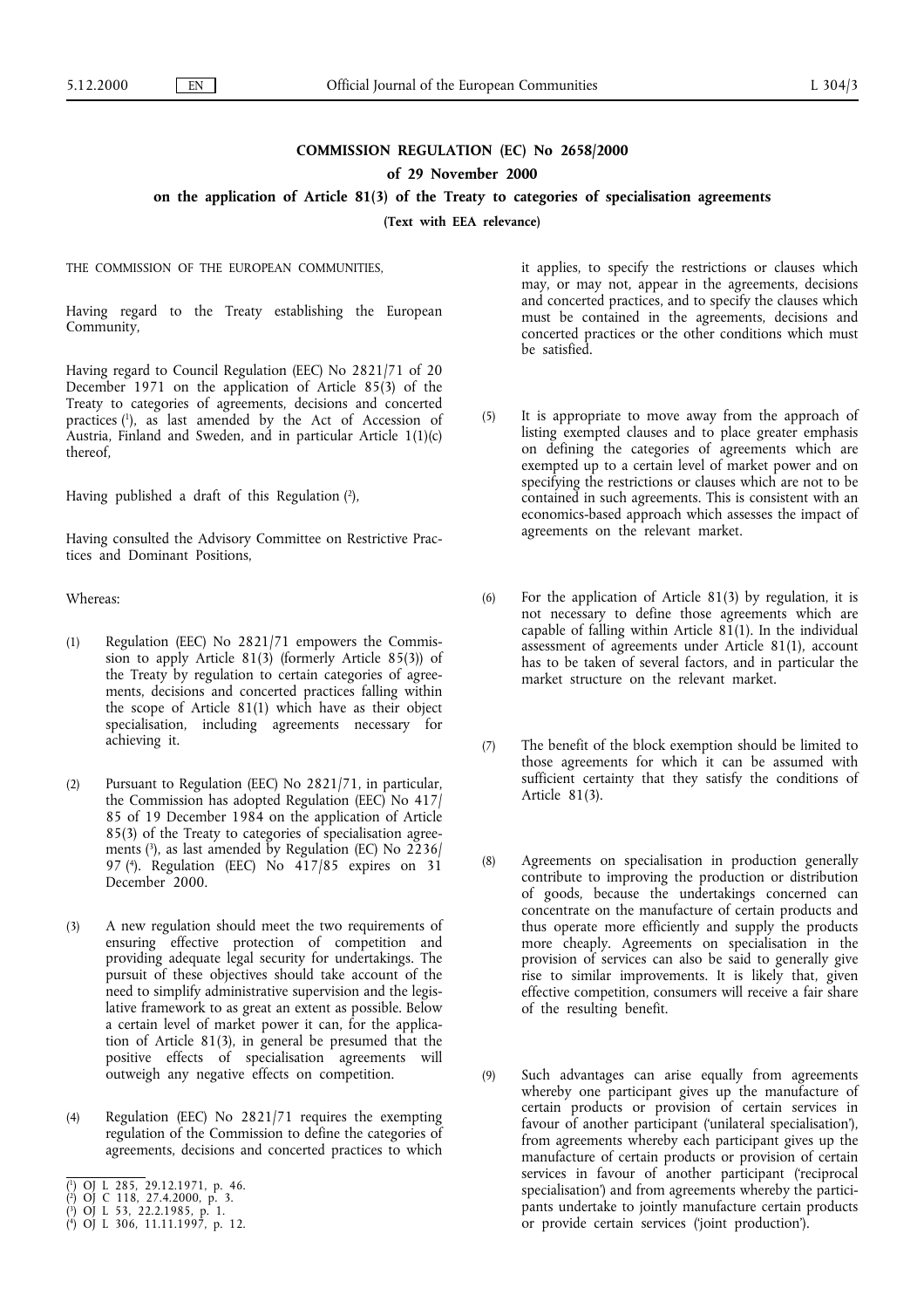# **COMMISSION REGULATION (EC) No 2658/2000**

**of 29 November 2000**

# **on the application of Article 81(3) of the Treaty to categories of specialisation agreements**

(Text with EEA relevance)

THE COMMISSION OF THE EUROPEAN COMMUNITIES,

Having regard to the Treaty establishing the European Community,

Having regard to Council Regulation (EEC) No 2821/71 of 20 December 1971 on the application of Article 85(3) of the Treaty to categories of agreements, decisions and concerted practices (1), as last amended by the Act of Accession of Austria, Finland and Sweden, and in particular Article 1(1)(c) thereof,

Having published a draft of this Regulation  $(2)$ ,

Having consulted the Advisory Committee on Restrictive Practices and Dominant Positions,

Whereas:

- (1) Regulation (EEC) No 2821/71 empowers the Commission to apply Article 81(3) (formerly Article 85(3)) of the Treaty by regulation to certain categories of agreements, decisions and concerted practices falling within the scope of Article 81(1) which have as their object specialisation, including agreements necessary for achieving it.
- (2) Pursuant to Regulation (EEC) No 2821/71, in particular, the Commission has adopted Regulation (EEC) No 417/ 85 of 19 December 1984 on the application of Article 85(3) of the Treaty to categories of specialisation agreements (3), as last amended by Regulation (EC) No 2236/ 97 (4). Regulation (EEC) No 417/85 expires on 31 December 2000.
- (3) A new regulation should meet the two requirements of ensuring effective protection of competition and providing adequate legal security for undertakings. The pursuit of these objectives should take account of the need to simplify administrative supervision and the legislative framework to as great an extent as possible. Below a certain level of market power it can, for the application of Article 81(3), in general be presumed that the positive effects of specialisation agreements will outweigh any negative effects on competition.
- (4) Regulation (EEC) No 2821/71 requires the exempting regulation of the Commission to define the categories of agreements, decisions and concerted practices to which

it applies, to specify the restrictions or clauses which may, or may not, appear in the agreements, decisions and concerted practices, and to specify the clauses which must be contained in the agreements, decisions and concerted practices or the other conditions which must be satisfied.

- (5) It is appropriate to move away from the approach of listing exempted clauses and to place greater emphasis on defining the categories of agreements which are exempted up to a certain level of market power and on specifying the restrictions or clauses which are not to be contained in such agreements. This is consistent with an economics-based approach which assesses the impact of agreements on the relevant market.
- (6) For the application of Article 81(3) by regulation, it is not necessary to define those agreements which are capable of falling within Article 81(1). In the individual assessment of agreements under Article 81(1), account has to be taken of several factors, and in particular the market structure on the relevant market.
- (7) The benefit of the block exemption should be limited to those agreements for which it can be assumed with sufficient certainty that they satisfy the conditions of Article 81(3).
- (8) Agreements on specialisation in production generally contribute to improving the production or distribution of goods, because the undertakings concerned can concentrate on the manufacture of certain products and thus operate more efficiently and supply the products more cheaply. Agreements on specialisation in the provision of services can also be said to generally give rise to similar improvements. It is likely that, given effective competition, consumers will receive a fair share of the resulting benefit.
- (9) Such advantages can arise equally from agreements whereby one participant gives up the manufacture of certain products or provision of certain services in favour of another participant ('unilateral specialisation'), from agreements whereby each participant gives up the manufacture of certain products or provision of certain services in favour of another participant ('reciprocal specialisation') and from agreements whereby the participants undertake to jointly manufacture certain products or provide certain services ('joint production').

<sup>(</sup> 1) OJ L 285, 29.12.1971, p. 46.

<sup>(</sup> 2) OJ C 118, 27.4.2000, p. 3.

<sup>(</sup> 3) OJ L 53, 22.2.1985, p. 1. ( 4) OJ L 306, 11.11.1997, p. 12.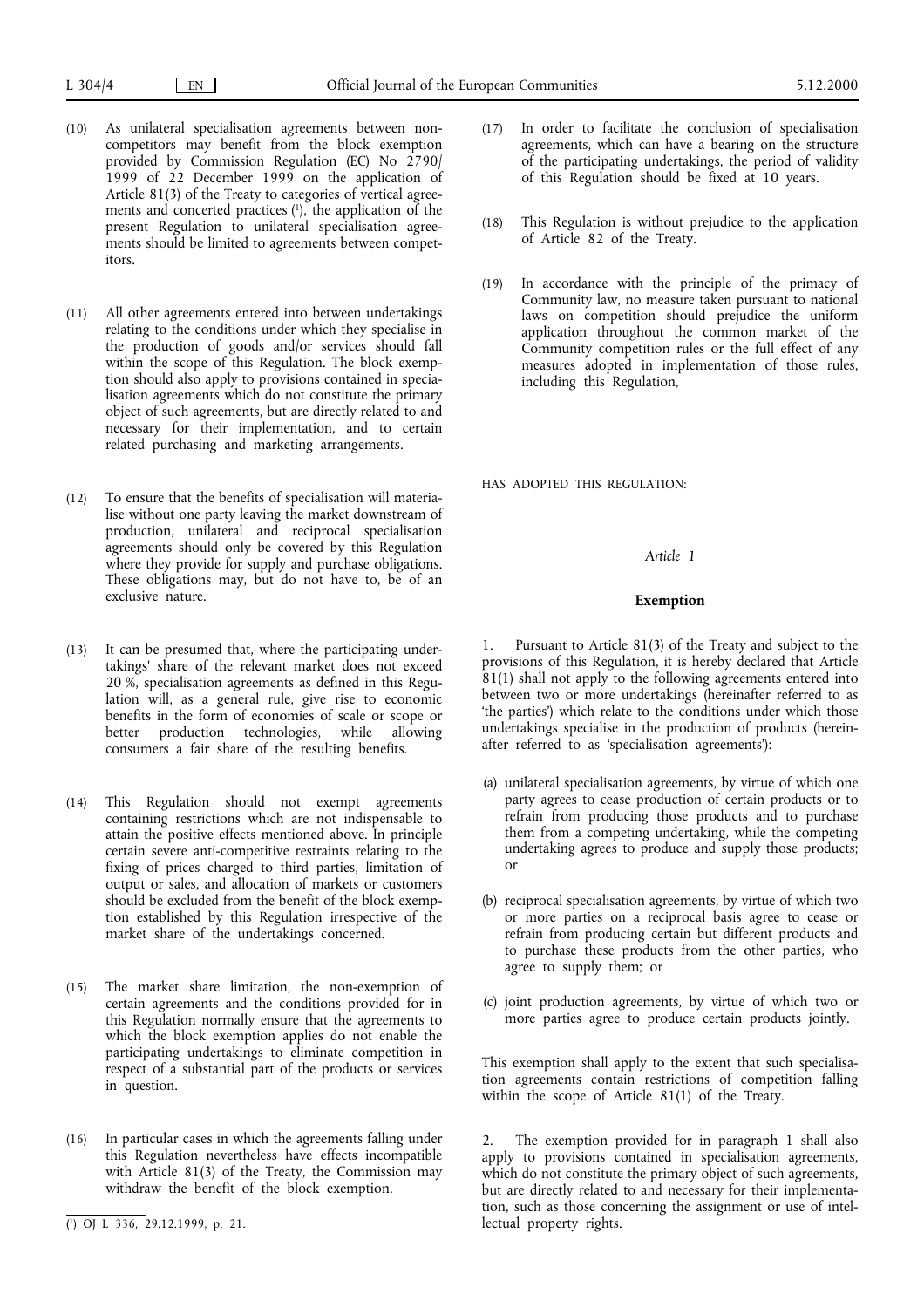- (10) As unilateral specialisation agreements between noncompetitors may benefit from the block exemption provided by Commission Regulation (EC) No 2790/ 1999 of 22 December 1999 on the application of Article 81(3) of the Treaty to categories of vertical agreements and concerted practices (1), the application of the present Regulation to unilateral specialisation agreements should be limited to agreements between competitors.
- (11) All other agreements entered into between undertakings relating to the conditions under which they specialise in the production of goods and/or services should fall within the scope of this Regulation. The block exemption should also apply to provisions contained in specialisation agreements which do not constitute the primary object of such agreements, but are directly related to and necessary for their implementation, and to certain related purchasing and marketing arrangements.
- (12) To ensure that the benefits of specialisation will materialise without one party leaving the market downstream of production, unilateral and reciprocal specialisation agreements should only be covered by this Regulation where they provide for supply and purchase obligations. These obligations may, but do not have to, be of an exclusive nature.
- (13) It can be presumed that, where the participating undertakings' share of the relevant market does not exceed 20 %, specialisation agreements as defined in this Regulation will, as a general rule, give rise to economic benefits in the form of economies of scale or scope or better production technologies, while allowing consumers a fair share of the resulting benefits.
- (14) This Regulation should not exempt agreements containing restrictions which are not indispensable to attain the positive effects mentioned above. In principle certain severe anti-competitive restraints relating to the fixing of prices charged to third parties, limitation of output or sales, and allocation of markets or customers should be excluded from the benefit of the block exemption established by this Regulation irrespective of the market share of the undertakings concerned.
- (15) The market share limitation, the non-exemption of certain agreements and the conditions provided for in this Regulation normally ensure that the agreements to which the block exemption applies do not enable the participating undertakings to eliminate competition in respect of a substantial part of the products or services in question.
- (16) In particular cases in which the agreements falling under this Regulation nevertheless have effects incompatible with Article 81(3) of the Treaty, the Commission may withdraw the benefit of the block exemption.
- (1) OJ L 336, 29.12.1999, p. 21. lectual property rights.
- (17) In order to facilitate the conclusion of specialisation agreements, which can have a bearing on the structure of the participating undertakings, the period of validity of this Regulation should be fixed at 10 years.
- (18) This Regulation is without prejudice to the application of Article 82 of the Treaty.
- (19) In accordance with the principle of the primacy of Community law, no measure taken pursuant to national laws on competition should prejudice the uniform application throughout the common market of the Community competition rules or the full effect of any measures adopted in implementation of those rules, including this Regulation,

HAS ADOPTED THIS REGULATION:

## *Article 1*

# **Exemption**

1. Pursuant to Article 81(3) of the Treaty and subject to the provisions of this Regulation, it is hereby declared that Article 81(1) shall not apply to the following agreements entered into between two or more undertakings (hereinafter referred to as 'the parties') which relate to the conditions under which those undertakings specialise in the production of products (hereinafter referred to as 'specialisation agreements'):

- (a) unilateral specialisation agreements, by virtue of which one party agrees to cease production of certain products or to refrain from producing those products and to purchase them from a competing undertaking, while the competing undertaking agrees to produce and supply those products; or
- (b) reciprocal specialisation agreements, by virtue of which two or more parties on a reciprocal basis agree to cease or refrain from producing certain but different products and to purchase these products from the other parties, who agree to supply them; or
- (c) joint production agreements, by virtue of which two or more parties agree to produce certain products jointly.

This exemption shall apply to the extent that such specialisation agreements contain restrictions of competition falling within the scope of Article 81(1) of the Treaty.

The exemption provided for in paragraph 1 shall also apply to provisions contained in specialisation agreements, which do not constitute the primary object of such agreements, but are directly related to and necessary for their implementation, such as those concerning the assignment or use of intel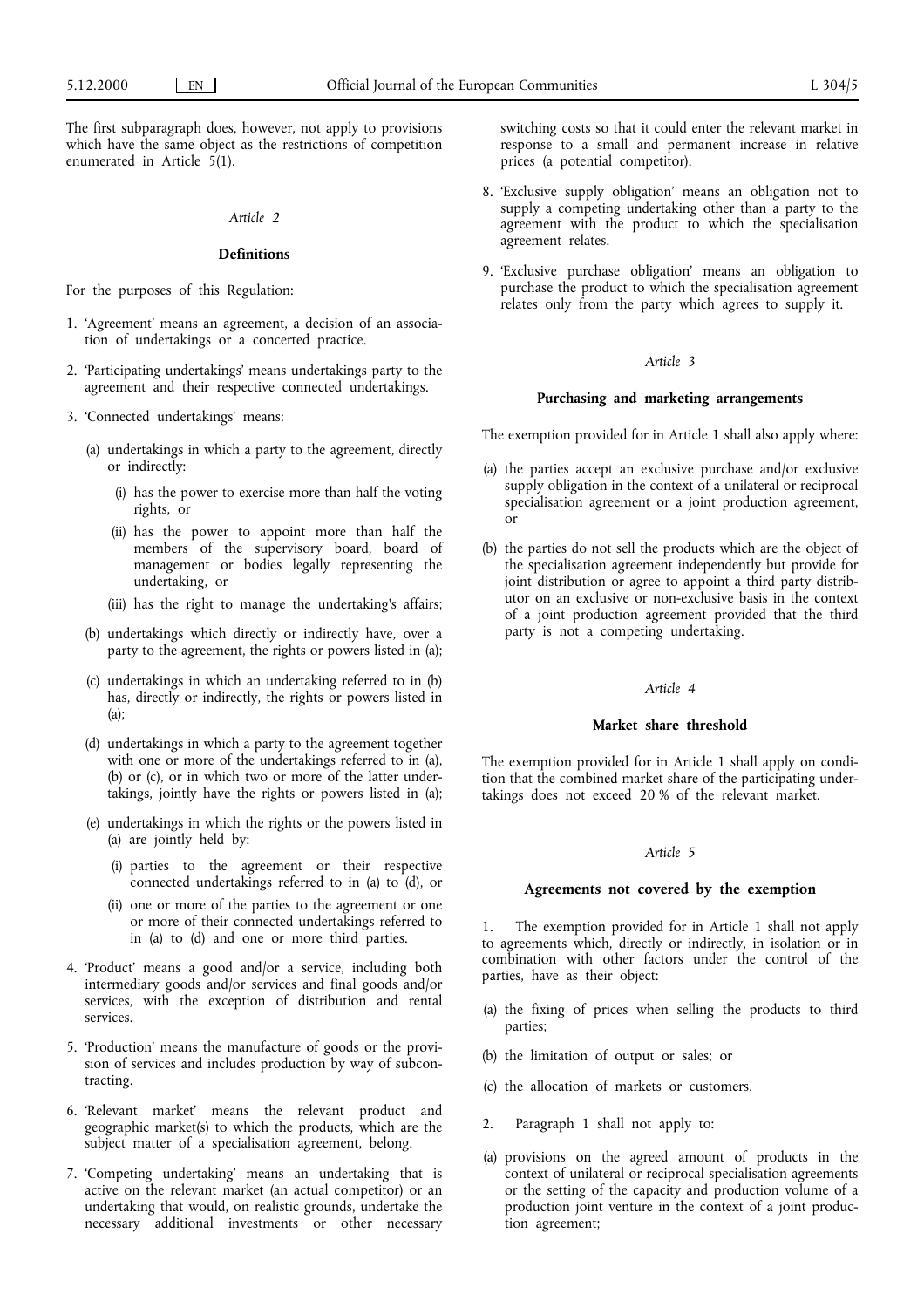The first subparagraph does, however, not apply to provisions which have the same object as the restrictions of competition enumerated in Article 5(1).

# *Article 2*

# **Definitions**

For the purposes of this Regulation:

- 1. 'Agreement' means an agreement, a decision of an association of undertakings or a concerted practice.
- 2. 'Participating undertakings' means undertakings party to the agreement and their respective connected undertakings.
- 3. 'Connected undertakings' means:
	- (a) undertakings in which a party to the agreement, directly or indirectly:
		- (i) has the power to exercise more than half the voting rights, or
		- (ii) has the power to appoint more than half the members of the supervisory board, board of management or bodies legally representing the undertaking, or
		- (iii) has the right to manage the undertaking's affairs;
	- (b) undertakings which directly or indirectly have, over a party to the agreement, the rights or powers listed in (a);
	- (c) undertakings in which an undertaking referred to in (b) has, directly or indirectly, the rights or powers listed in  $(a)$ :
	- (d) undertakings in which a party to the agreement together with one or more of the undertakings referred to in (a), (b) or (c), or in which two or more of the latter undertakings, jointly have the rights or powers listed in (a);
	- (e) undertakings in which the rights or the powers listed in (a) are jointly held by:
		- (i) parties to the agreement or their respective connected undertakings referred to in (a) to (d), or
		- (ii) one or more of the parties to the agreement or one or more of their connected undertakings referred to in (a) to (d) and one or more third parties.
- 4. 'Product' means a good and/or a service, including both intermediary goods and/or services and final goods and/or services, with the exception of distribution and rental services.
- 5. 'Production' means the manufacture of goods or the provision of services and includes production by way of subcontracting.
- 6. 'Relevant market' means the relevant product and geographic market(s) to which the products, which are the subject matter of a specialisation agreement, belong.
- 7. 'Competing undertaking' means an undertaking that is active on the relevant market (an actual competitor) or an undertaking that would, on realistic grounds, undertake the necessary additional investments or other necessary

switching costs so that it could enter the relevant market in response to a small and permanent increase in relative prices (a potential competitor).

- 8. 'Exclusive supply obligation' means an obligation not to supply a competing undertaking other than a party to the agreement with the product to which the specialisation agreement relates.
- 9. 'Exclusive purchase obligation' means an obligation to purchase the product to which the specialisation agreement relates only from the party which agrees to supply it.

## *Article 3*

# **Purchasing and marketing arrangements**

The exemption provided for in Article 1 shall also apply where:

- (a) the parties accept an exclusive purchase and/or exclusive supply obligation in the context of a unilateral or reciprocal specialisation agreement or a joint production agreement, or
- (b) the parties do not sell the products which are the object of the specialisation agreement independently but provide for joint distribution or agree to appoint a third party distributor on an exclusive or non-exclusive basis in the context of a joint production agreement provided that the third party is not a competing undertaking.

# *Article 4*

### **Market share threshold**

The exemption provided for in Article 1 shall apply on condition that the combined market share of the participating undertakings does not exceed 20 % of the relevant market.

# *Article 5*

# **Agreements not covered by the exemption**

1. The exemption provided for in Article 1 shall not apply to agreements which, directly or indirectly, in isolation or in combination with other factors under the control of the parties, have as their object:

- (a) the fixing of prices when selling the products to third parties;
- (b) the limitation of output or sales; or
- (c) the allocation of markets or customers.
- 2. Paragraph 1 shall not apply to:
- (a) provisions on the agreed amount of products in the context of unilateral or reciprocal specialisation agreements or the setting of the capacity and production volume of a production joint venture in the context of a joint production agreement;